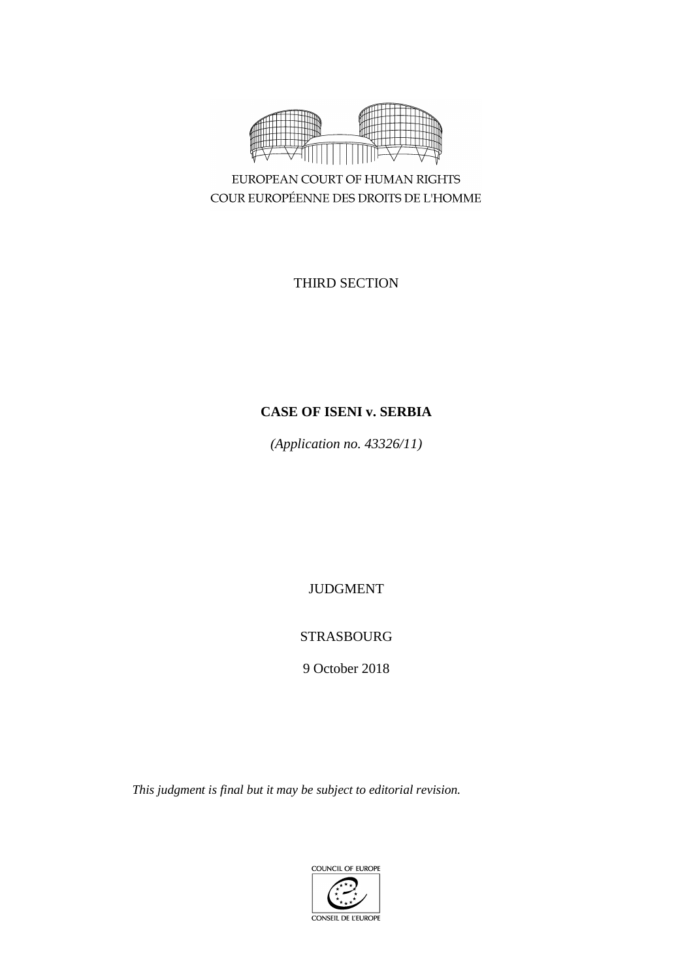

EUROPEAN COURT OF HUMAN RIGHTS COUR EUROPÉENNE DES DROITS DE L'HOMME

THIRD SECTION

# **CASE OF ISENI v. SERBIA**

*(Application no. 43326/11)*

JUDGMENT

# STRASBOURG

9 October 2018

*This judgment is final but it may be subject to editorial revision.*

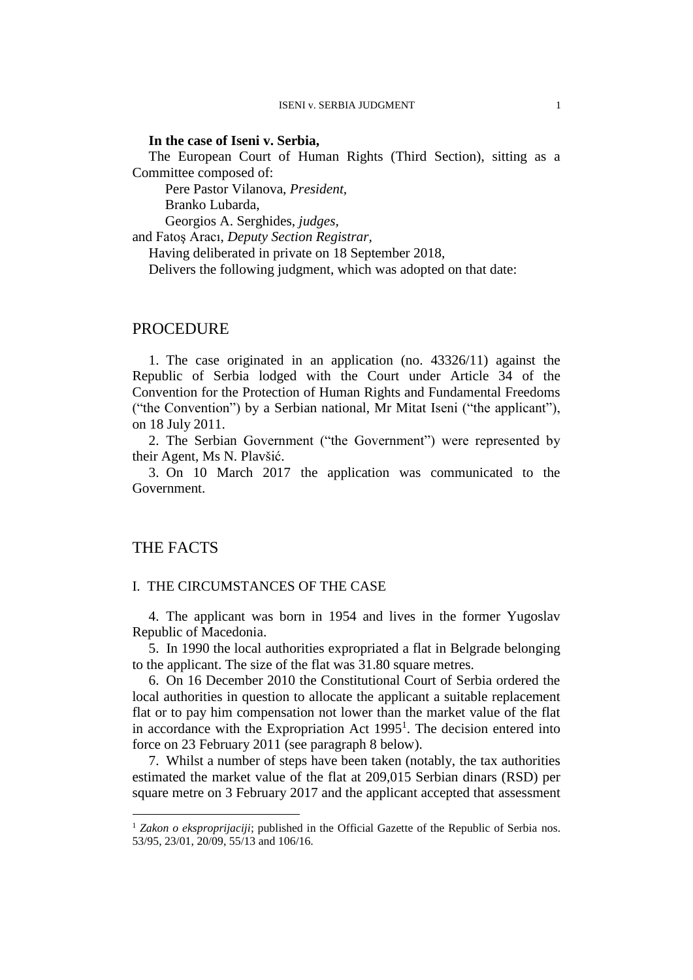#### **In the case of Iseni v. Serbia,**

The European Court of Human Rights (Third Section), sitting as a Committee composed of:

Pere Pastor Vilanova, *President,* Branko Lubarda,

Georgios A. Serghides, *judges,* and Fatoş Aracı, *Deputy Section Registrar,*

Having deliberated in private on 18 September 2018,

Delivers the following judgment, which was adopted on that date:

### PROCEDURE

1. The case originated in an application (no. 43326/11) against the Republic of Serbia lodged with the Court under Article 34 of the Convention for the Protection of Human Rights and Fundamental Freedoms ("the Convention") by a Serbian national, Mr Mitat Iseni ("the applicant"), on 18 July 2011.

2. The Serbian Government ("the Government") were represented by their Agent, Ms N. Plavšić.

3. On 10 March 2017 the application was communicated to the Government.

# THE FACTS

1

### I. THE CIRCUMSTANCES OF THE CASE

4. The applicant was born in 1954 and lives in the former Yugoslav Republic of Macedonia.

<span id="page-2-0"></span>5. In 1990 the local authorities expropriated a flat in Belgrade belonging to the applicant. The size of the flat was 31.80 square metres.

6. On 16 December 2010 the Constitutional Court of Serbia ordered the local authorities in question to allocate the applicant a suitable replacement flat or to pay him compensation not lower than the market value of the flat in accordance with the Expropriation Act  $1995<sup>1</sup>$ . The decision entered into force on 23 February 2011 (see paragraph [8](#page-3-0) below).

<span id="page-2-1"></span>7. Whilst a number of steps have been taken (notably, the tax authorities estimated the market value of the flat at 209,015 Serbian dinars (RSD) per square metre on 3 February 2017 and the applicant accepted that assessment

<sup>&</sup>lt;sup>1</sup> *Zakon o eksproprijaciji*; published in the Official Gazette of the Republic of Serbia nos. 53/95, 23/01, 20/09, 55/13 and 106/16.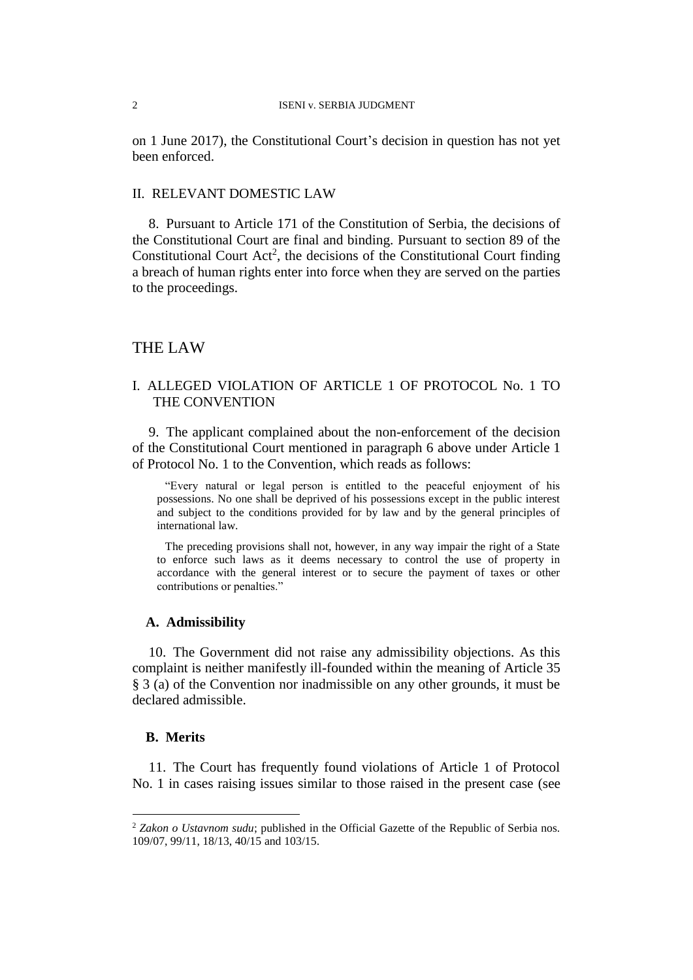#### 2 ISENI v. SERBIA JUDGMENT

on 1 June 2017), the Constitutional Court's decision in question has not yet been enforced.

### II. RELEVANT DOMESTIC LAW

<span id="page-3-0"></span>8. Pursuant to Article 171 of the Constitution of Serbia, the decisions of the Constitutional Court are final and binding. Pursuant to section 89 of the Constitutional Court Act<sup>2</sup>, the decisions of the Constitutional Court finding a breach of human rights enter into force when they are served on the parties to the proceedings.

## THE LAW

# I. ALLEGED VIOLATION OF ARTICLE 1 OF PROTOCOL No. 1 TO THE CONVENTION

9. The applicant complained about the non-enforcement of the decision of the Constitutional Court mentioned in paragraph 6 above under Article 1 of Protocol No. 1 to the Convention, which reads as follows:

"Every natural or legal person is entitled to the peaceful enjoyment of his possessions. No one shall be deprived of his possessions except in the public interest and subject to the conditions provided for by law and by the general principles of international law.

The preceding provisions shall not, however, in any way impair the right of a State to enforce such laws as it deems necessary to control the use of property in accordance with the general interest or to secure the payment of taxes or other contributions or penalties."

### **A. Admissibility**

10. The Government did not raise any admissibility objections. As this complaint is neither manifestly ill-founded within the meaning of Article 35 § 3 (a) of the Convention nor inadmissible on any other grounds, it must be declared admissible.

## **B. Merits**

1

11. The Court has frequently found violations of Article 1 of Protocol No. 1 in cases raising issues similar to those raised in the present case (see

<sup>2</sup> *Zakon o Ustavnom sudu*; published in the Official Gazette of the Republic of Serbia nos. 109/07, 99/11, 18/13, 40/15 and 103/15.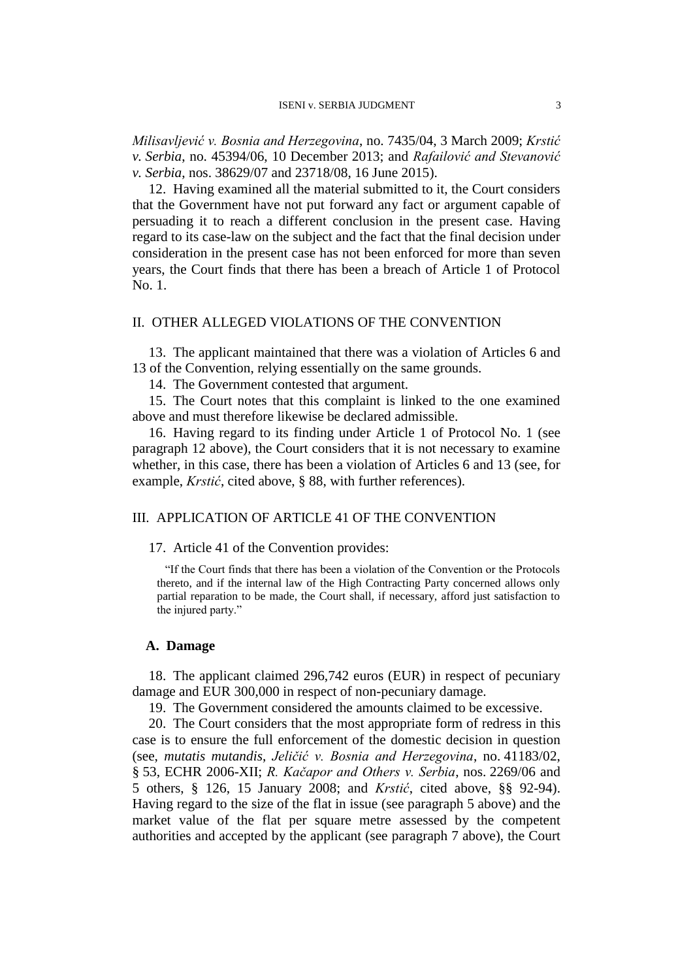*Milisavljević v. Bosnia and Herzegovina*, no. 7435/04, 3 March 2009; *Krstić v. Serbia*, no. 45394/06, 10 December 2013; and *Rafailović and Stevanović v. Serbia*, nos. 38629/07 and 23718/08, 16 June 2015).

<span id="page-4-0"></span>12. Having examined all the material submitted to it, the Court considers that the Government have not put forward any fact or argument capable of persuading it to reach a different conclusion in the present case. Having regard to its case-law on the subject and the fact that the final decision under consideration in the present case has not been enforced for more than seven years, the Court finds that there has been a breach of Article 1 of Protocol No. 1.

## II. OTHER ALLEGED VIOLATIONS OF THE CONVENTION

13. The applicant maintained that there was a violation of Articles 6 and 13 of the Convention, relying essentially on the same grounds.

14. The Government contested that argument.

15. The Court notes that this complaint is linked to the one examined above and must therefore likewise be declared admissible.

16. Having regard to its finding under Article 1 of Protocol No. 1 (see paragraph [12](#page-4-0) above), the Court considers that it is not necessary to examine whether, in this case, there has been a violation of Articles 6 and 13 (see, for example, *Krstić*, cited above, § 88, with further references).

# III. APPLICATION OF ARTICLE 41 OF THE CONVENTION

#### 17. Article 41 of the Convention provides:

"If the Court finds that there has been a violation of the Convention or the Protocols thereto, and if the internal law of the High Contracting Party concerned allows only partial reparation to be made, the Court shall, if necessary, afford just satisfaction to the injured party."

#### **A. Damage**

18. The applicant claimed 296,742 euros (EUR) in respect of pecuniary damage and EUR 300,000 in respect of non-pecuniary damage.

19. The Government considered the amounts claimed to be excessive.

20. The Court considers that the most appropriate form of redress in this case is to ensure the full enforcement of the domestic decision in question (see, *mutatis mutandis*, *Jeličić v. Bosnia and Herzegovina*, no. 41183/02, § 53, ECHR 2006-XII; *R. Kačapor and Others v. Serbia*, nos. 2269/06 and 5 others, § 126, 15 January 2008; and *Krstić*, cited above, §§ 92-94). Having regard to the size of the flat in issue (see paragraph [5](#page-2-0) above) and the market value of the flat per square metre assessed by the competent authorities and accepted by the applicant (see paragraph [7](#page-2-1) above), the Court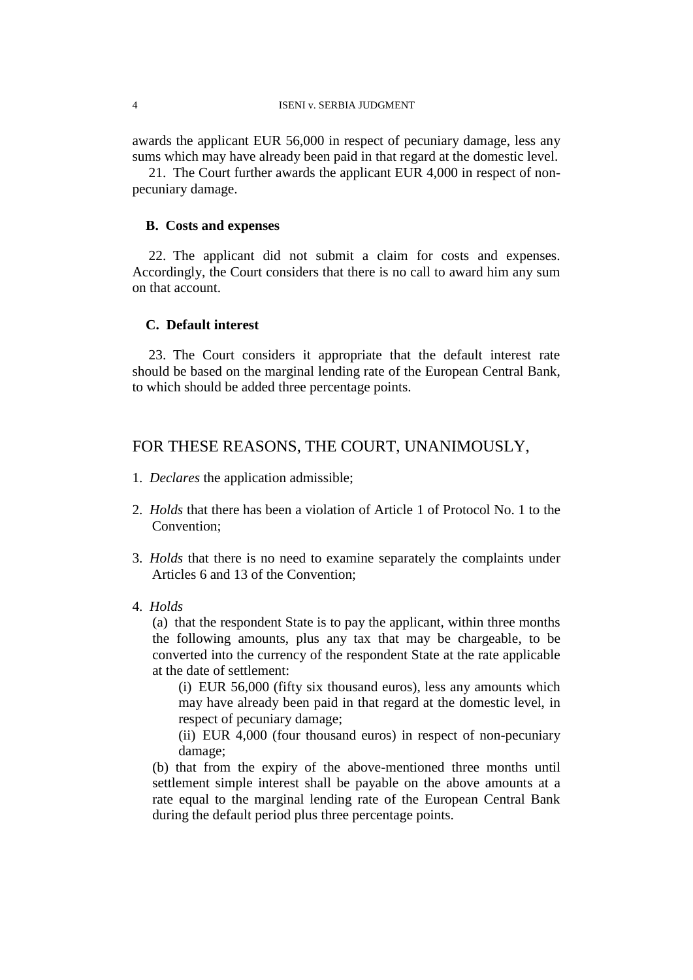#### 4 ISENI v. SERBIA JUDGMENT

awards the applicant EUR 56,000 in respect of pecuniary damage, less any sums which may have already been paid in that regard at the domestic level.

21. The Court further awards the applicant EUR 4,000 in respect of nonpecuniary damage.

#### **B. Costs and expenses**

22. The applicant did not submit a claim for costs and expenses. Accordingly, the Court considers that there is no call to award him any sum on that account.

## **C. Default interest**

23. The Court considers it appropriate that the default interest rate should be based on the marginal lending rate of the European Central Bank, to which should be added three percentage points.

# FOR THESE REASONS, THE COURT, UNANIMOUSLY,

- 1. *Declares* the application admissible;
- 2. *Holds* that there has been a violation of Article 1 of Protocol No. 1 to the Convention;
- 3. *Holds* that there is no need to examine separately the complaints under Articles 6 and 13 of the Convention;
- 4. *Holds*

(a) that the respondent State is to pay the applicant, within three months the following amounts, plus any tax that may be chargeable, to be converted into the currency of the respondent State at the rate applicable at the date of settlement:

(i) EUR 56,000 (fifty six thousand euros), less any amounts which may have already been paid in that regard at the domestic level, in respect of pecuniary damage;

(ii) EUR 4,000 (four thousand euros) in respect of non-pecuniary damage;

(b) that from the expiry of the above-mentioned three months until settlement simple interest shall be payable on the above amounts at a rate equal to the marginal lending rate of the European Central Bank during the default period plus three percentage points.